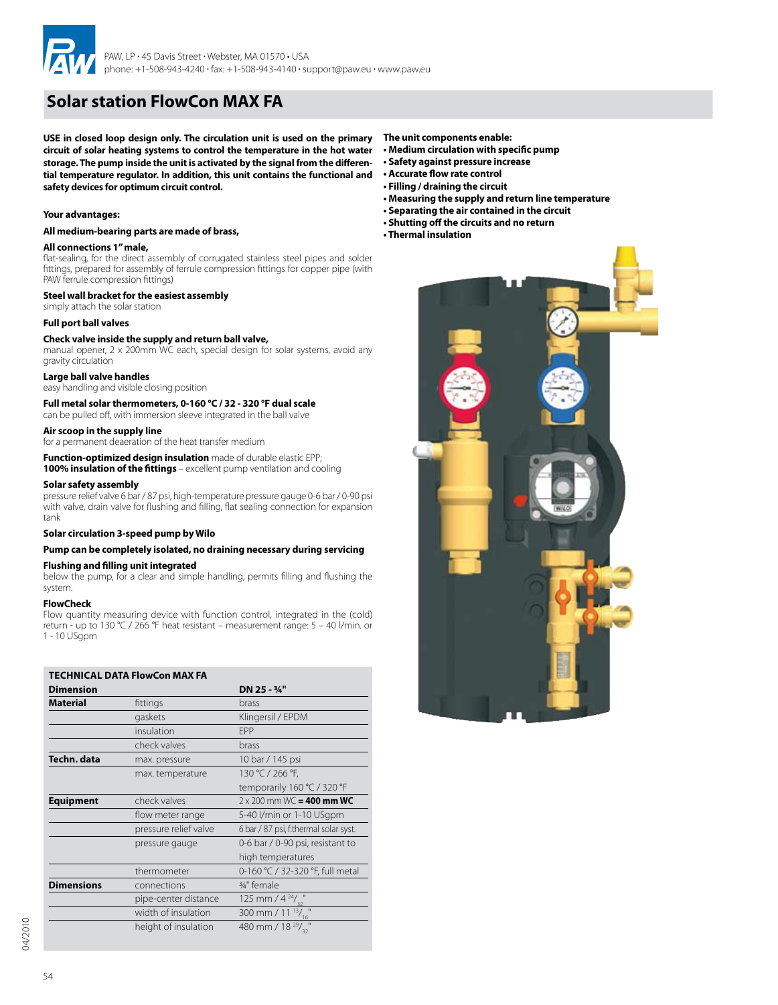

# **Solar station FlowCon MAX FA**

**USE in closed loop design only. The circulation unit is used on the primary circuit of solar heating systems to control the temperature in the hot water storage. The pump inside the unit is activated by the signal from the differential temperature regulator. In addition, this unit contains the functional and safety devices for optimum circuit control.**

### **Your advantages:**

**All medium-bearing parts are made of brass,**

### **All connections 1'' male,**

flat-sealing, for the direct assembly of corrugated stainless steel pipes and solder fittings, prepared for assembly of ferrule compression fittings for copper pipe (with PAW ferrule compression fittings)

### **Steel wall bracket for the easiest assembly**

### simply attach the solar station

### **Full port ball valves**

### **Check valve inside the supply and return ball valve,**

manual opener, 2 x 200mm WC each, special design for solar systems, avoid any gravity circulation

### **Large ball valve handles**

easy handling and visible closing position

**Full metal solar thermometers, 0-160 °C / 32 - 320 °F dual scale**  can be pulled off, with immersion sleeve integrated in the ball valve

### **Air scoop in the supply line**

for a permanent deaeration of the heat transfer medium

**Function-optimized design insulation** made of durable elastic EPP; **100% insulation of the fittings** – excellent pump ventilation and cooling

## **Solar safety assembly**

pressure relief valve 6 bar / 87 psi, high-temperature pressure gauge 0-6 bar / 0-90 psi with valve, drain valve for flushing and filling, flat sealing connection for expansion tank

### **Solar circulation 3-speed pump by Wilo**

### **Pump can be completely isolated, no draining necessary during servicing**

### **Flushing and filling unit integrated**

below the pump, for a clear and simple handling, permits filling and flushing the system.

### **FlowCheck**

Flow quantity measuring device with function control, integrated in the (cold) return - up to 130 °C / 266 °F heat resistant – measurement range: 5 – 40 l/min. or 1 - 10 USgpm

| <b>TECHNICAL DATA FlowCon MAX FA</b> |                       |                                       |  |  |
|--------------------------------------|-----------------------|---------------------------------------|--|--|
| <b>Dimension</b>                     |                       | DN 25 - 3/4"                          |  |  |
| <b>Material</b>                      | fittings              | brass                                 |  |  |
|                                      | gaskets               | Klingersil / EPDM                     |  |  |
|                                      | insulation            | <b>FPP</b>                            |  |  |
|                                      | check valves          | brass                                 |  |  |
| Techn. data                          | max. pressure         | 10 bar / 145 psi                      |  |  |
|                                      | max. temperature      | 130 °C / 266 °F,                      |  |  |
|                                      |                       | temporarily 160 °C / 320 °F           |  |  |
| <b>Equipment</b>                     | check valves          | $2 \times 200$ mm WC = 400 mm WC      |  |  |
|                                      | flow meter range      | 5-40 l/min or 1-10 USgpm              |  |  |
|                                      | pressure relief valve | 6 bar / 87 psi, f.thermal solar syst. |  |  |
|                                      | pressure gauge        | 0-6 bar / 0-90 psi, resistant to      |  |  |
|                                      |                       | high temperatures                     |  |  |
|                                      | thermometer           | 0-160 °C / 32-320 °F, full metal      |  |  |
| <b>Dimensions</b>                    | connections           | 3/4" female                           |  |  |
|                                      | pipe-center distance  | 125 mm / $4^{24}/v32$                 |  |  |
|                                      | width of insulation   | 300 mm / 11 $\frac{13}{16}$ "         |  |  |
|                                      | height of insulation  | 480 mm / 18 $29/2$                    |  |  |

**The unit components enable:**

- **• Medium circulation with specific pump**
- **• Safety against pressure increase**
- **• Accurate flow rate control**
- **• Filling / draining the circuit**
- **• Measuring the supply and return line temperature**
- **• Separating the air contained in the circuit**
- **• Shutting off the circuits and no return**
- **• Thermal insulation**